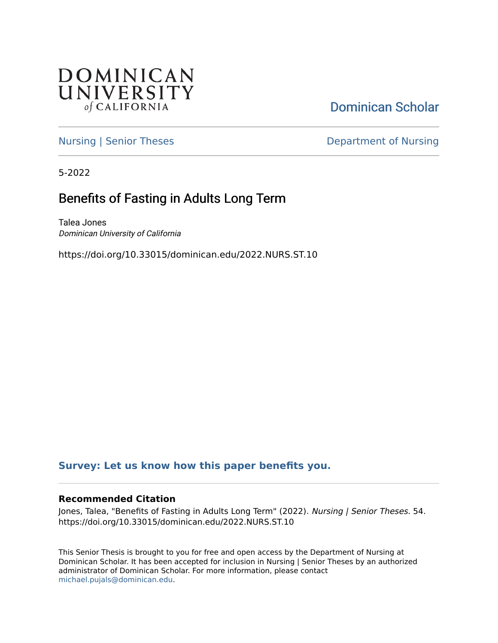

[Dominican Scholar](https://scholar.dominican.edu/) 

[Nursing | Senior Theses](https://scholar.dominican.edu/nursing-senior-theses) **Department of Nursing** 

5-2022

# Benefits of Fasting in Adults Long Term

Talea Jones Dominican University of California

https://doi.org/10.33015/dominican.edu/2022.NURS.ST.10

# **[Survey: Let us know how this paper benefits you.](https://dominican.libwizard.com/dominican-scholar-feedback)**

#### **Recommended Citation**

Jones, Talea, "Benefits of Fasting in Adults Long Term" (2022). Nursing | Senior Theses. 54. https://doi.org/10.33015/dominican.edu/2022.NURS.ST.10

This Senior Thesis is brought to you for free and open access by the Department of Nursing at Dominican Scholar. It has been accepted for inclusion in Nursing | Senior Theses by an authorized administrator of Dominican Scholar. For more information, please contact [michael.pujals@dominican.edu.](mailto:michael.pujals@dominican.edu)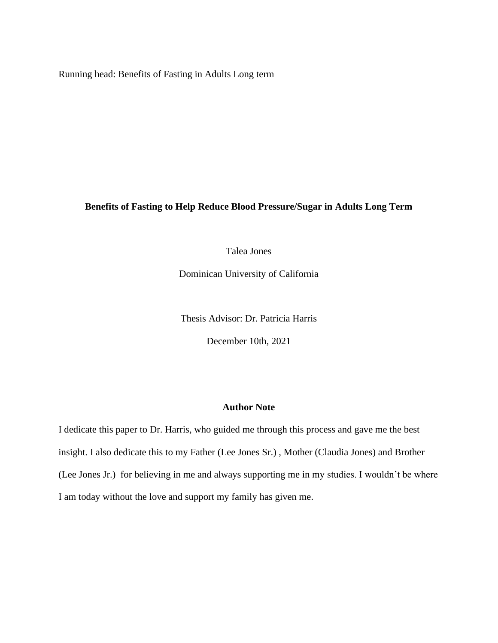Running head: Benefits of Fasting in Adults Long term

## **Benefits of Fasting to Help Reduce Blood Pressure/Sugar in Adults Long Term**

Talea Jones

Dominican University of California

Thesis Advisor: Dr. Patricia Harris

December 10th, 2021

# **Author Note**

<span id="page-1-0"></span>I dedicate this paper to Dr. Harris, who guided me through this process and gave me the best insight. I also dedicate this to my Father (Lee Jones Sr.) , Mother (Claudia Jones) and Brother (Lee Jones Jr.) for believing in me and always supporting me in my studies. I wouldn't be where I am today without the love and support my family has given me.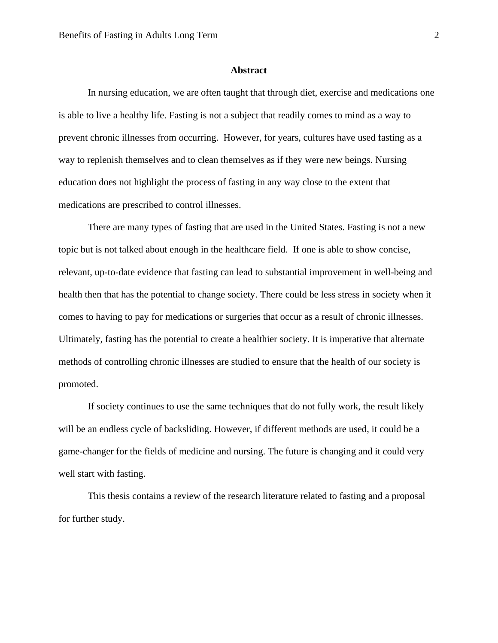#### **Abstract**

<span id="page-2-0"></span>In nursing education, we are often taught that through diet, exercise and medications one is able to live a healthy life. Fasting is not a subject that readily comes to mind as a way to prevent chronic illnesses from occurring. However, for years, cultures have used fasting as a way to replenish themselves and to clean themselves as if they were new beings. Nursing education does not highlight the process of fasting in any way close to the extent that medications are prescribed to control illnesses.

There are many types of fasting that are used in the United States. Fasting is not a new topic but is not talked about enough in the healthcare field. If one is able to show concise, relevant, up-to-date evidence that fasting can lead to substantial improvement in well-being and health then that has the potential to change society. There could be less stress in society when it comes to having to pay for medications or surgeries that occur as a result of chronic illnesses. Ultimately, fasting has the potential to create a healthier society. It is imperative that alternate methods of controlling chronic illnesses are studied to ensure that the health of our society is promoted.

If society continues to use the same techniques that do not fully work, the result likely will be an endless cycle of backsliding. However, if different methods are used, it could be a game-changer for the fields of medicine and nursing. The future is changing and it could very well start with fasting.

This thesis contains a review of the research literature related to fasting and a proposal for further study.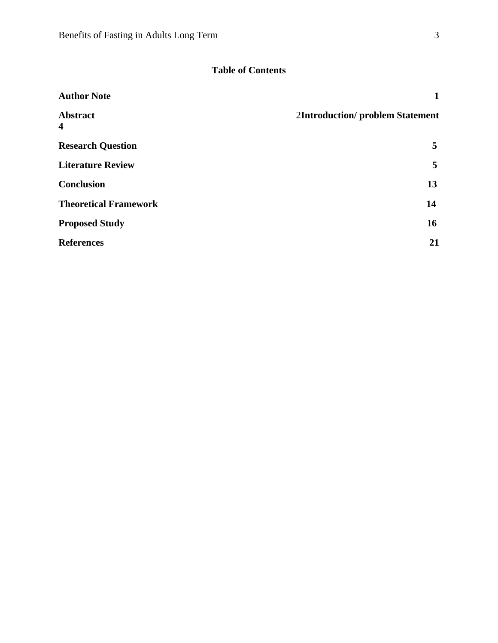# **Table of Contents**

| <b>Author Note</b>                  | 1                                      |
|-------------------------------------|----------------------------------------|
| <b>Abstract</b><br>$\boldsymbol{4}$ | <b>2Introduction/problem Statement</b> |
| <b>Research Question</b>            | 5                                      |
| <b>Literature Review</b>            | 5                                      |
| <b>Conclusion</b>                   | 13                                     |
| <b>Theoretical Framework</b>        | 14                                     |
| <b>Proposed Study</b>               | 16                                     |
| <b>References</b>                   | 21                                     |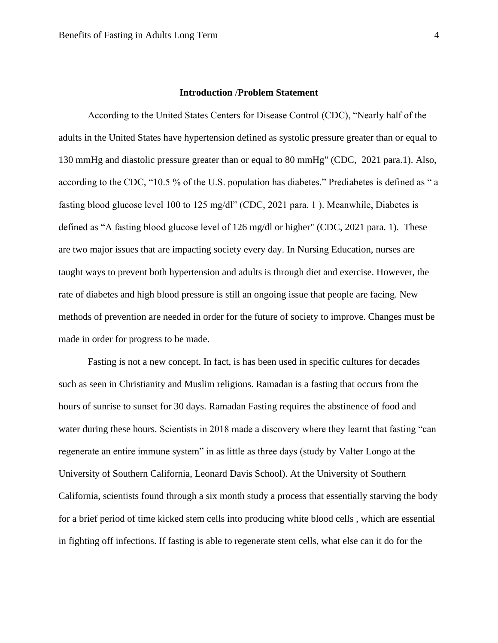#### **Introduction** /**Problem Statement**

According to the United States Centers for Disease Control (CDC), "Nearly half of the adults in the United States have hypertension defined as systolic pressure greater than or equal to 130 mmHg and diastolic pressure greater than or equal to 80 mmHg" (CDC, 2021 para.1). Also, according to the CDC, "10.5 % of the U.S. population has diabetes." Prediabetes is defined as " a fasting blood glucose level 100 to 125 mg/dl" (CDC, 2021 para. 1). Meanwhile, Diabetes is defined as "A fasting blood glucose level of 126 mg/dl or higher" (CDC, 2021 para. 1). These are two major issues that are impacting society every day. In Nursing Education, nurses are taught ways to prevent both hypertension and adults is through diet and exercise. However, the rate of diabetes and high blood pressure is still an ongoing issue that people are facing. New methods of prevention are needed in order for the future of society to improve. Changes must be made in order for progress to be made.

Fasting is not a new concept. In fact, is has been used in specific cultures for decades such as seen in Christianity and Muslim religions. Ramadan is a fasting that occurs from the hours of sunrise to sunset for 30 days. Ramadan Fasting requires the abstinence of food and water during these hours. Scientists in 2018 made a discovery where they learnt that fasting "can regenerate an entire immune system" in as little as three days (study by Valter Longo at the University of Southern California, Leonard Davis School). At the University of Southern California, scientists found through a six month study a process that essentially starving the body for a brief period of time kicked stem cells into producing white blood cells , which are essential in fighting off infections. If fasting is able to regenerate stem cells, what else can it do for the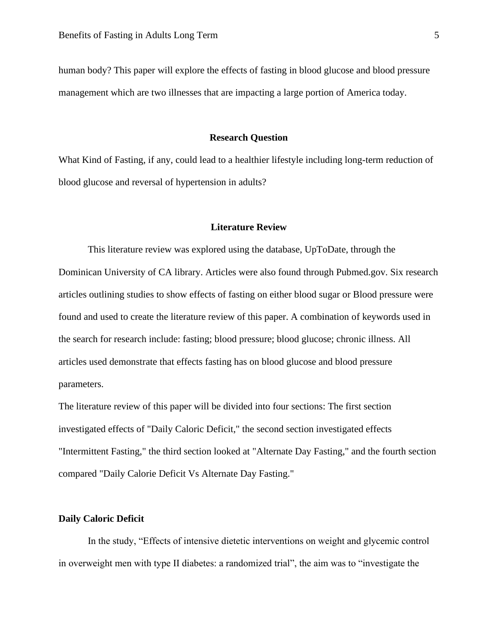human body? This paper will explore the effects of fasting in blood glucose and blood pressure management which are two illnesses that are impacting a large portion of America today.

#### **Research Question**

What Kind of Fasting, if any, could lead to a healthier lifestyle including long-term reduction of blood glucose and reversal of hypertension in adults?

#### **Literature Review**

This literature review was explored using the database, UpToDate, through the Dominican University of CA library. Articles were also found through Pubmed.gov. Six research articles outlining studies to show effects of fasting on either blood sugar or Blood pressure were found and used to create the literature review of this paper. A combination of keywords used in the search for research include: fasting; blood pressure; blood glucose; chronic illness. All articles used demonstrate that effects fasting has on blood glucose and blood pressure parameters.

The literature review of this paper will be divided into four sections: The first section investigated effects of "Daily Caloric Deficit," the second section investigated effects "Intermittent Fasting," the third section looked at "Alternate Day Fasting," and the fourth section compared "Daily Calorie Deficit Vs Alternate Day Fasting."

#### **Daily Caloric Deficit**

In the study, "Effects of intensive dietetic interventions on weight and glycemic control in overweight men with type II diabetes: a randomized trial", the aim was to "investigate the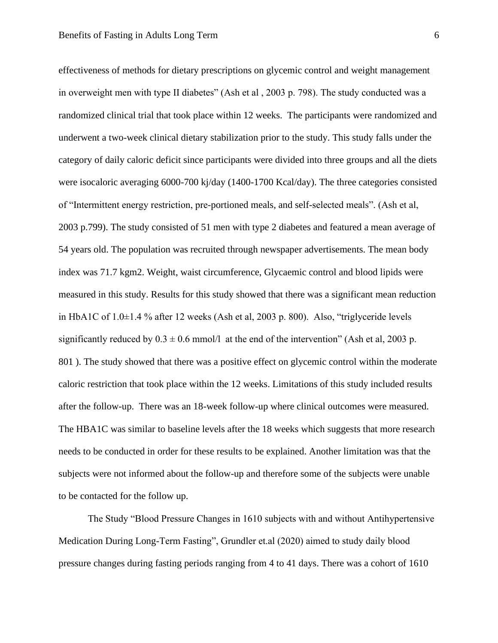effectiveness of methods for dietary prescriptions on glycemic control and weight management in overweight men with type II diabetes" (Ash et al , 2003 p. 798). The study conducted was a randomized clinical trial that took place within 12 weeks. The participants were randomized and underwent a two-week clinical dietary stabilization prior to the study. This study falls under the category of daily caloric deficit since participants were divided into three groups and all the diets were isocaloric averaging 6000-700 kj/day (1400-1700 Kcal/day). The three categories consisted of "Intermittent energy restriction, pre-portioned meals, and self-selected meals". (Ash et al, 2003 p.799). The study consisted of 51 men with type 2 diabetes and featured a mean average of 54 years old. The population was recruited through newspaper advertisements. The mean body index was 71.7 kgm2. Weight, waist circumference, Glycaemic control and blood lipids were measured in this study. Results for this study showed that there was a significant mean reduction in HbA1C of 1.0±1.4 % after 12 weeks (Ash et al, 2003 p. 800). Also, "triglyceride levels significantly reduced by  $0.3 \pm 0.6$  mmol/l at the end of the intervention" (Ash et al, 2003 p. 801 ). The study showed that there was a positive effect on glycemic control within the moderate caloric restriction that took place within the 12 weeks. Limitations of this study included results after the follow-up. There was an 18-week follow-up where clinical outcomes were measured. The HBA1C was similar to baseline levels after the 18 weeks which suggests that more research needs to be conducted in order for these results to be explained. Another limitation was that the subjects were not informed about the follow-up and therefore some of the subjects were unable to be contacted for the follow up.

The Study "Blood Pressure Changes in 1610 subjects with and without Antihypertensive Medication During Long-Term Fasting", Grundler et.al (2020) aimed to study daily blood pressure changes during fasting periods ranging from 4 to 41 days. There was a cohort of 1610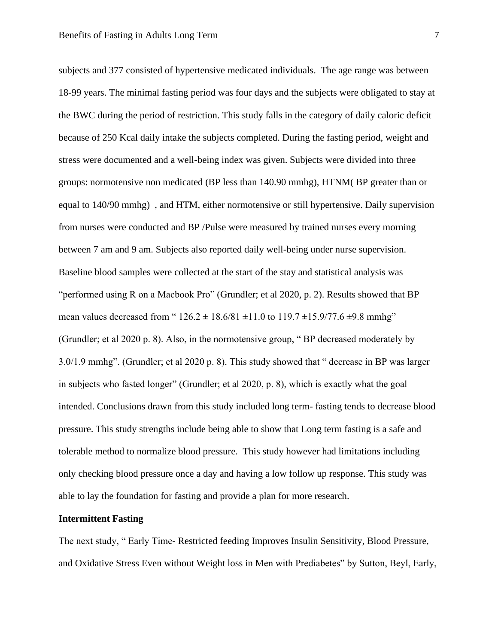subjects and 377 consisted of hypertensive medicated individuals. The age range was between 18-99 years. The minimal fasting period was four days and the subjects were obligated to stay at the BWC during the period of restriction. This study falls in the category of daily caloric deficit because of 250 Kcal daily intake the subjects completed. During the fasting period, weight and stress were documented and a well-being index was given. Subjects were divided into three groups: normotensive non medicated (BP less than 140.90 mmhg), HTNM( BP greater than or equal to 140/90 mmhg) , and HTM, either normotensive or still hypertensive. Daily supervision from nurses were conducted and BP /Pulse were measured by trained nurses every morning between 7 am and 9 am. Subjects also reported daily well-being under nurse supervision. Baseline blood samples were collected at the start of the stay and statistical analysis was "performed using R on a Macbook Pro" (Grundler; et al 2020, p. 2). Results showed that BP mean values decreased from "  $126.2 \pm 18.6/81 \pm 11.0$  to  $119.7 \pm 15.9/77.6 \pm 9.8$  mmhg" (Grundler; et al 2020 p. 8). Also, in the normotensive group, " BP decreased moderately by 3.0/1.9 mmhg". (Grundler; et al 2020 p. 8). This study showed that " decrease in BP was larger in subjects who fasted longer" (Grundler; et al 2020, p. 8), which is exactly what the goal intended. Conclusions drawn from this study included long term- fasting tends to decrease blood pressure. This study strengths include being able to show that Long term fasting is a safe and tolerable method to normalize blood pressure. This study however had limitations including only checking blood pressure once a day and having a low follow up response. This study was able to lay the foundation for fasting and provide a plan for more research.

#### **Intermittent Fasting**

The next study, " Early Time- Restricted feeding Improves Insulin Sensitivity, Blood Pressure, and Oxidative Stress Even without Weight loss in Men with Prediabetes" by Sutton, Beyl, Early,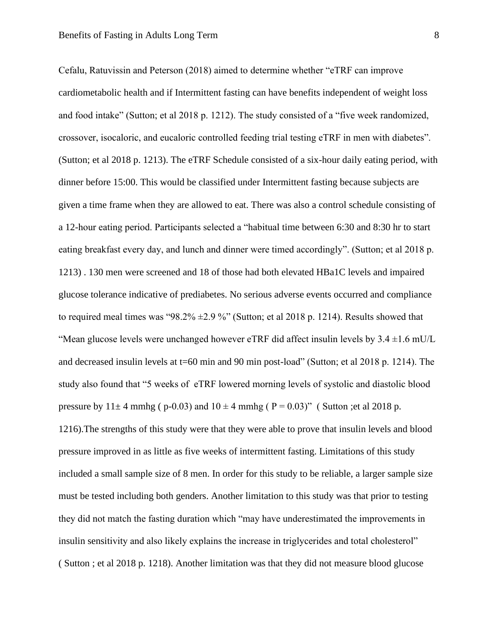Cefalu, Ratuvissin and Peterson (2018) aimed to determine whether "eTRF can improve cardiometabolic health and if Intermittent fasting can have benefits independent of weight loss and food intake" (Sutton; et al 2018 p. 1212). The study consisted of a "five week randomized, crossover, isocaloric, and eucaloric controlled feeding trial testing eTRF in men with diabetes". (Sutton; et al 2018 p. 1213). The eTRF Schedule consisted of a six-hour daily eating period, with dinner before 15:00. This would be classified under Intermittent fasting because subjects are given a time frame when they are allowed to eat. There was also a control schedule consisting of a 12-hour eating period. Participants selected a "habitual time between 6:30 and 8:30 hr to start eating breakfast every day, and lunch and dinner were timed accordingly". (Sutton; et al 2018 p. 1213) . 130 men were screened and 18 of those had both elevated HBa1C levels and impaired glucose tolerance indicative of prediabetes. No serious adverse events occurred and compliance to required meal times was "98.2%  $\pm$ 2.9 %" (Sutton; et al 2018 p. 1214). Results showed that "Mean glucose levels were unchanged however eTRF did affect insulin levels by  $3.4 \pm 1.6$  mU/L and decreased insulin levels at t=60 min and 90 min post-load" (Sutton; et al 2018 p. 1214). The study also found that "5 weeks of eTRF lowered morning levels of systolic and diastolic blood pressure by  $11 \pm 4$  mmhg ( p-0.03) and  $10 \pm 4$  mmhg ( P = 0.03)" ( Sutton ; et al 2018 p. 1216).The strengths of this study were that they were able to prove that insulin levels and blood pressure improved in as little as five weeks of intermittent fasting. Limitations of this study included a small sample size of 8 men. In order for this study to be reliable, a larger sample size must be tested including both genders. Another limitation to this study was that prior to testing they did not match the fasting duration which "may have underestimated the improvements in insulin sensitivity and also likely explains the increase in triglycerides and total cholesterol" ( Sutton ; et al 2018 p. 1218). Another limitation was that they did not measure blood glucose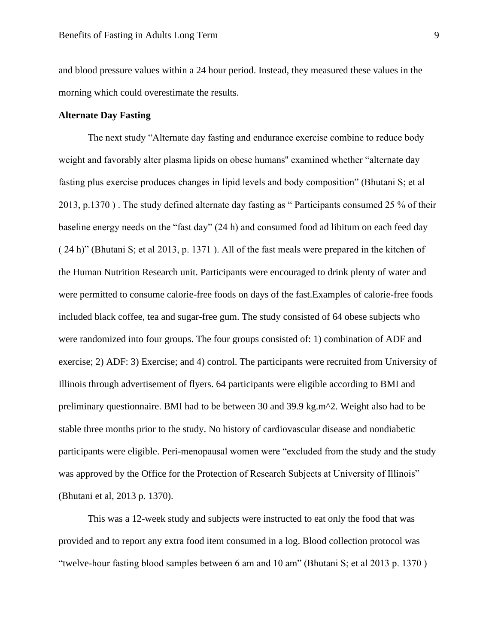and blood pressure values within a 24 hour period. Instead, they measured these values in the morning which could overestimate the results.

#### **Alternate Day Fasting**

The next study "Alternate day fasting and endurance exercise combine to reduce body weight and favorably alter plasma lipids on obese humans'' examined whether "alternate day fasting plus exercise produces changes in lipid levels and body composition" (Bhutani S; et al 2013, p.1370 ) . The study defined alternate day fasting as " Participants consumed 25 % of their baseline energy needs on the "fast day" (24 h) and consumed food ad libitum on each feed day ( 24 h)" (Bhutani S; et al 2013, p. 1371 ). All of the fast meals were prepared in the kitchen of the Human Nutrition Research unit. Participants were encouraged to drink plenty of water and were permitted to consume calorie-free foods on days of the fast.Examples of calorie-free foods included black coffee, tea and sugar-free gum. The study consisted of 64 obese subjects who were randomized into four groups. The four groups consisted of: 1) combination of ADF and exercise; 2) ADF: 3) Exercise; and 4) control. The participants were recruited from University of Illinois through advertisement of flyers. 64 participants were eligible according to BMI and preliminary questionnaire. BMI had to be between 30 and 39.9 kg.m^2. Weight also had to be stable three months prior to the study. No history of cardiovascular disease and nondiabetic participants were eligible. Peri-menopausal women were "excluded from the study and the study was approved by the Office for the Protection of Research Subjects at University of Illinois" (Bhutani et al, 2013 p. 1370).

This was a 12-week study and subjects were instructed to eat only the food that was provided and to report any extra food item consumed in a log. Blood collection protocol was "twelve-hour fasting blood samples between 6 am and 10 am" (Bhutani S; et al 2013 p. 1370 )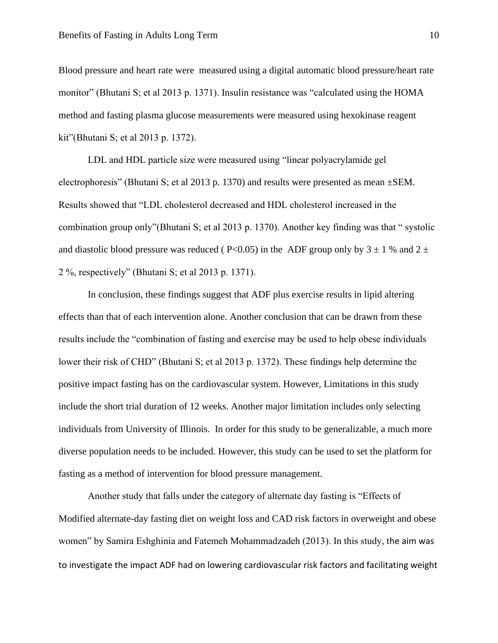Blood pressure and heart rate were measured using a digital automatic blood pressure/heart rate monitor" (Bhutani S; et al 2013 p. 1371). Insulin resistance was "calculated using the HOMA method and fasting plasma glucose measurements were measured using hexokinase reagent kit"(Bhutani S; et al 2013 p. 1372).

LDL and HDL particle size were measured using "linear polyacrylamide gel electrophoresis" (Bhutani S; et al 2013 p. 1370) and results were presented as mean ±SEM. Results showed that "LDL cholesterol decreased and HDL cholesterol increased in the combination group only"(Bhutani S; et al 2013 p. 1370). Another key finding was that " systolic and diastolic blood pressure was reduced (  $P<0.05$ ) in the ADF group only by 3  $\pm$  1 % and 2  $\pm$ 2 %, respectively" (Bhutani S; et al 2013 p. 1371).

In conclusion, these findings suggest that ADF plus exercise results in lipid altering effects than that of each intervention alone. Another conclusion that can be drawn from these results include the "combination of fasting and exercise may be used to help obese individuals lower their risk of CHD" (Bhutani S; et al 2013 p. 1372). These findings help determine the positive impact fasting has on the cardiovascular system. However, Limitations in this study include the short trial duration of 12 weeks. Another major limitation includes only selecting individuals from University of Illinois. In order for this study to be generalizable, a much more diverse population needs to be included. However, this study can be used to set the platform for fasting as a method of intervention for blood pressure management.

Another study that falls under the category of alternate day fasting is "Effects of Modified alternate-day fasting diet on weight loss and CAD risk factors in overweight and obese women" by Samira Eshghinia and Fatemeh Mohammadzadeh (2013). In this study, the aim was to investigate the impact ADF had on lowering cardiovascular risk factors and facilitating weight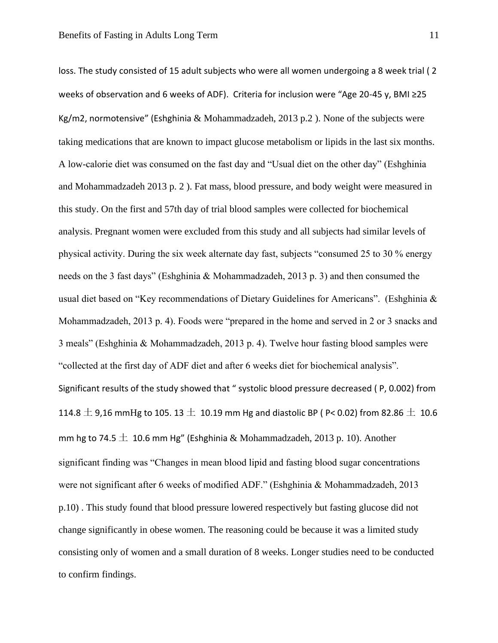loss. The study consisted of 15 adult subjects who were all women undergoing a 8 week trial ( 2 weeks of observation and 6 weeks of ADF). Criteria for inclusion were "Age 20-45 y, BMI ≥25 Kg/m2, normotensive" (Eshghinia & Mohammadzadeh, 2013 p.2). None of the subjects were taking medications that are known to impact glucose metabolism or lipids in the last six months. A low-calorie diet was consumed on the fast day and "Usual diet on the other day" (Eshghinia and Mohammadzadeh 2013 p. 2 ). Fat mass, blood pressure, and body weight were measured in this study. On the first and 57th day of trial blood samples were collected for biochemical analysis. Pregnant women were excluded from this study and all subjects had similar levels of physical activity. During the six week alternate day fast, subjects "consumed 25 to 30 % energy needs on the 3 fast days" (Eshghinia & Mohammadzadeh, 2013 p. 3) and then consumed the usual diet based on "Key recommendations of Dietary Guidelines for Americans". (Eshghinia & Mohammadzadeh, 2013 p. 4). Foods were "prepared in the home and served in 2 or 3 snacks and 3 meals" (Eshghinia & Mohammadzadeh, 2013 p. 4). Twelve hour fasting blood samples were "collected at the first day of ADF diet and after 6 weeks diet for biochemical analysis". Significant results of the study showed that " systolic blood pressure decreased ( P, 0.002) from 114.8  $\pm$  9,16 mmHg to 105. 13  $\pm$  10.19 mm Hg and diastolic BP ( P< 0.02) from 82.86  $\pm$  10.6 mm hg to 74.5  $\pm$  10.6 mm Hg" (Eshghinia & Mohammadzadeh, 2013 p. 10). Another significant finding was "Changes in mean blood lipid and fasting blood sugar concentrations were not significant after 6 weeks of modified ADF." (Eshghinia & Mohammadzadeh, 2013 p.10) . This study found that blood pressure lowered respectively but fasting glucose did not change significantly in obese women. The reasoning could be because it was a limited study consisting only of women and a small duration of 8 weeks. Longer studies need to be conducted to confirm findings.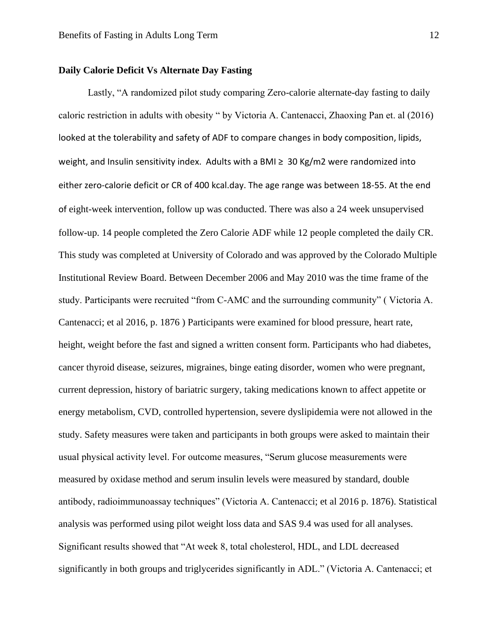#### **Daily Calorie Deficit Vs Alternate Day Fasting**

Lastly, "A randomized pilot study comparing Zero-calorie alternate-day fasting to daily caloric restriction in adults with obesity " by Victoria A. Cantenacci, Zhaoxing Pan et. al (2016) looked at the tolerability and safety of ADF to compare changes in body composition, lipids, weight, and Insulin sensitivity index. Adults with a BMI ≥ 30 Kg/m2 were randomized into either zero-calorie deficit or CR of 400 kcal.day. The age range was between 18-55. At the end of eight-week intervention, follow up was conducted. There was also a 24 week unsupervised follow-up. 14 people completed the Zero Calorie ADF while 12 people completed the daily CR. This study was completed at University of Colorado and was approved by the Colorado Multiple Institutional Review Board. Between December 2006 and May 2010 was the time frame of the study. Participants were recruited "from C-AMC and the surrounding community" ( Victoria A. Cantenacci; et al 2016, p. 1876 ) Participants were examined for blood pressure, heart rate, height, weight before the fast and signed a written consent form. Participants who had diabetes, cancer thyroid disease, seizures, migraines, binge eating disorder, women who were pregnant, current depression, history of bariatric surgery, taking medications known to affect appetite or energy metabolism, CVD, controlled hypertension, severe dyslipidemia were not allowed in the study. Safety measures were taken and participants in both groups were asked to maintain their usual physical activity level. For outcome measures, "Serum glucose measurements were measured by oxidase method and serum insulin levels were measured by standard, double antibody, radioimmunoassay techniques" (Victoria A. Cantenacci; et al 2016 p. 1876). Statistical analysis was performed using pilot weight loss data and SAS 9.4 was used for all analyses. Significant results showed that "At week 8, total cholesterol, HDL, and LDL decreased significantly in both groups and triglycerides significantly in ADL." (Victoria A. Cantenacci; et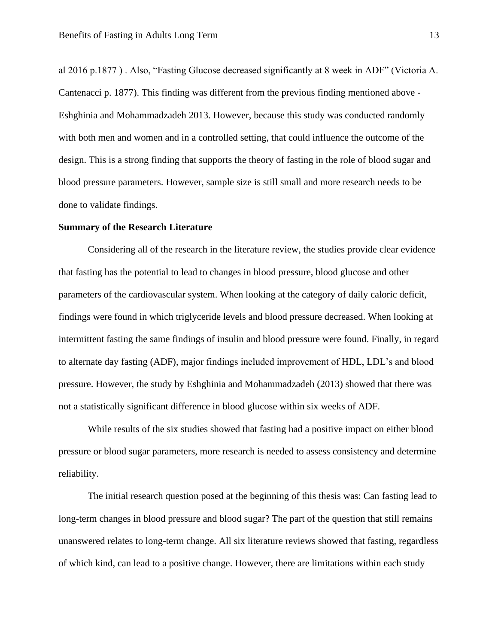al 2016 p.1877 ) . Also, "Fasting Glucose decreased significantly at 8 week in ADF" (Victoria A. Cantenacci p. 1877). This finding was different from the previous finding mentioned above - Eshghinia and Mohammadzadeh 2013. However, because this study was conducted randomly with both men and women and in a controlled setting, that could influence the outcome of the design. This is a strong finding that supports the theory of fasting in the role of blood sugar and blood pressure parameters. However, sample size is still small and more research needs to be done to validate findings.

#### **Summary of the Research Literature**

Considering all of the research in the literature review, the studies provide clear evidence that fasting has the potential to lead to changes in blood pressure, blood glucose and other parameters of the cardiovascular system. When looking at the category of daily caloric deficit, findings were found in which triglyceride levels and blood pressure decreased. When looking at intermittent fasting the same findings of insulin and blood pressure were found. Finally, in regard to alternate day fasting (ADF), major findings included improvement of HDL, LDL's and blood pressure. However, the study by Eshghinia and Mohammadzadeh (2013) showed that there was not a statistically significant difference in blood glucose within six weeks of ADF.

While results of the six studies showed that fasting had a positive impact on either blood pressure or blood sugar parameters, more research is needed to assess consistency and determine reliability.

The initial research question posed at the beginning of this thesis was: Can fasting lead to long-term changes in blood pressure and blood sugar? The part of the question that still remains unanswered relates to long-term change. All six literature reviews showed that fasting, regardless of which kind, can lead to a positive change. However, there are limitations within each study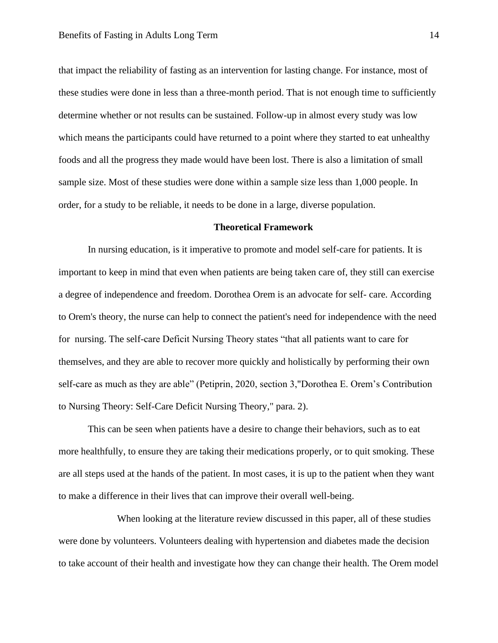that impact the reliability of fasting as an intervention for lasting change. For instance, most of these studies were done in less than a three-month period. That is not enough time to sufficiently determine whether or not results can be sustained. Follow-up in almost every study was low which means the participants could have returned to a point where they started to eat unhealthy foods and all the progress they made would have been lost. There is also a limitation of small sample size. Most of these studies were done within a sample size less than 1,000 people. In order, for a study to be reliable, it needs to be done in a large, diverse population.

#### **Theoretical Framework**

In nursing education, is it imperative to promote and model self-care for patients. It is important to keep in mind that even when patients are being taken care of, they still can exercise a degree of independence and freedom. Dorothea Orem is an advocate for self- care. According to Orem's theory, the nurse can help to connect the patient's need for independence with the need for nursing. The self-care Deficit Nursing Theory states "that all patients want to care for themselves, and they are able to recover more quickly and holistically by performing their own self-care as much as they are able" (Petiprin, 2020, section 3,"Dorothea E. Orem's Contribution to Nursing Theory: Self-Care Deficit Nursing Theory," para. 2).

This can be seen when patients have a desire to change their behaviors, such as to eat more healthfully, to ensure they are taking their medications properly, or to quit smoking. These are all steps used at the hands of the patient. In most cases, it is up to the patient when they want to make a difference in their lives that can improve their overall well-being.

When looking at the literature review discussed in this paper, all of these studies were done by volunteers. Volunteers dealing with hypertension and diabetes made the decision to take account of their health and investigate how they can change their health. The Orem model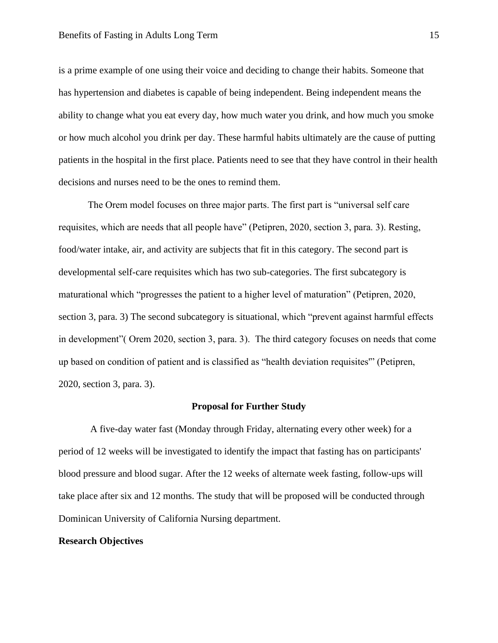is a prime example of one using their voice and deciding to change their habits. Someone that has hypertension and diabetes is capable of being independent. Being independent means the ability to change what you eat every day, how much water you drink, and how much you smoke or how much alcohol you drink per day. These harmful habits ultimately are the cause of putting patients in the hospital in the first place. Patients need to see that they have control in their health decisions and nurses need to be the ones to remind them.

The Orem model focuses on three major parts. The first part is "universal self care requisites, which are needs that all people have" (Petipren, 2020, section 3, para. 3). Resting, food/water intake, air, and activity are subjects that fit in this category. The second part is developmental self-care requisites which has two sub-categories. The first subcategory is maturational which "progresses the patient to a higher level of maturation" (Petipren, 2020, section 3, para. 3) The second subcategory is situational, which "prevent against harmful effects in development"( Orem 2020, section 3, para. 3). The third category focuses on needs that come up based on condition of patient and is classified as "health deviation requisites'" (Petipren, 2020, section 3, para. 3).

#### **Proposal for Further Study**

A five-day water fast (Monday through Friday, alternating every other week) for a period of 12 weeks will be investigated to identify the impact that fasting has on participants' blood pressure and blood sugar. After the 12 weeks of alternate week fasting, follow-ups will take place after six and 12 months. The study that will be proposed will be conducted through Dominican University of California Nursing department.

#### **Research Objectives**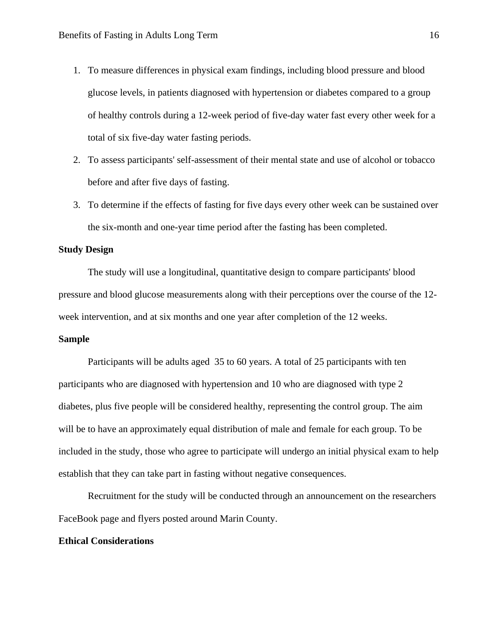- 1. To measure differences in physical exam findings, including blood pressure and blood glucose levels, in patients diagnosed with hypertension or diabetes compared to a group of healthy controls during a 12-week period of five-day water fast every other week for a total of six five-day water fasting periods.
- 2. To assess participants' self-assessment of their mental state and use of alcohol or tobacco before and after five days of fasting.
- 3. To determine if the effects of fasting for five days every other week can be sustained over the six-month and one-year time period after the fasting has been completed.

#### **Study Design**

The study will use a longitudinal, quantitative design to compare participants' blood pressure and blood glucose measurements along with their perceptions over the course of the 12 week intervention, and at six months and one year after completion of the 12 weeks.

#### **Sample**

Participants will be adults aged 35 to 60 years. A total of 25 participants with ten participants who are diagnosed with hypertension and 10 who are diagnosed with type 2 diabetes, plus five people will be considered healthy, representing the control group. The aim will be to have an approximately equal distribution of male and female for each group. To be included in the study, those who agree to participate will undergo an initial physical exam to help establish that they can take part in fasting without negative consequences.

Recruitment for the study will be conducted through an announcement on the researchers FaceBook page and flyers posted around Marin County.

#### **Ethical Considerations**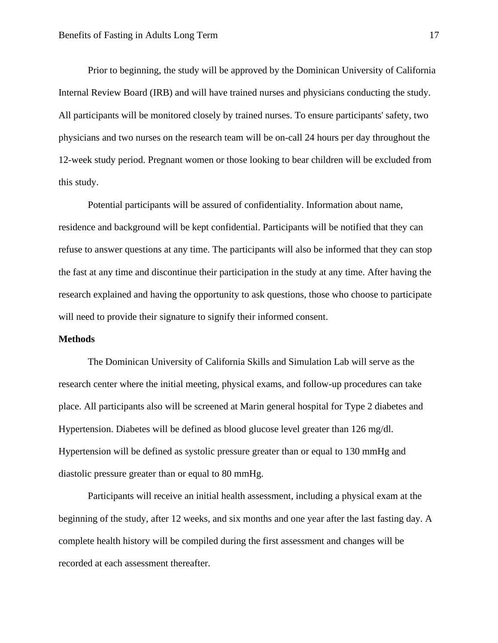Prior to beginning, the study will be approved by the Dominican University of California Internal Review Board (IRB) and will have trained nurses and physicians conducting the study. All participants will be monitored closely by trained nurses. To ensure participants' safety, two physicians and two nurses on the research team will be on-call 24 hours per day throughout the 12-week study period. Pregnant women or those looking to bear children will be excluded from this study.

Potential participants will be assured of confidentiality. Information about name, residence and background will be kept confidential. Participants will be notified that they can refuse to answer questions at any time. The participants will also be informed that they can stop the fast at any time and discontinue their participation in the study at any time. After having the research explained and having the opportunity to ask questions, those who choose to participate will need to provide their signature to signify their informed consent.

#### **Methods**

The Dominican University of California Skills and Simulation Lab will serve as the research center where the initial meeting, physical exams, and follow-up procedures can take place. All participants also will be screened at Marin general hospital for Type 2 diabetes and Hypertension. Diabetes will be defined as blood glucose level greater than 126 mg/dl. Hypertension will be defined as systolic pressure greater than or equal to 130 mmHg and diastolic pressure greater than or equal to 80 mmHg.

Participants will receive an initial health assessment, including a physical exam at the beginning of the study, after 12 weeks, and six months and one year after the last fasting day. A complete health history will be compiled during the first assessment and changes will be recorded at each assessment thereafter.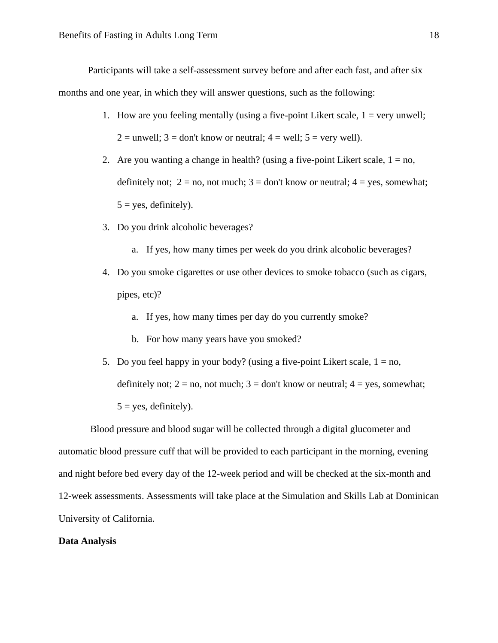Participants will take a self-assessment survey before and after each fast, and after six months and one year, in which they will answer questions, such as the following:

- 1. How are you feeling mentally (using a five-point Likert scale,  $1 = \text{very unwell};$  $2 =$  unwell;  $3 =$  don't know or neutral;  $4 =$  well;  $5 =$  very well).
- 2. Are you wanting a change in health? (using a five-point Likert scale,  $1 = no$ , definitely not;  $2 = no$ , not much;  $3 = don't know or neutral$ ;  $4 = yes$ , somewhat;  $5 = yes$ , definitely).
- 3. Do you drink alcoholic beverages?
	- a. If yes, how many times per week do you drink alcoholic beverages?
- 4. Do you smoke cigarettes or use other devices to smoke tobacco (such as cigars, pipes, etc)?
	- a. If yes, how many times per day do you currently smoke?
	- b. For how many years have you smoked?
- 5. Do you feel happy in your body? (using a five-point Likert scale,  $1 = no$ , definitely not;  $2 = no$ , not much;  $3 = don't know or neutral$ ;  $4 = yes$ , somewhat;  $5 = yes$ , definitely).

Blood pressure and blood sugar will be collected through a digital glucometer and automatic blood pressure cuff that will be provided to each participant in the morning, evening and night before bed every day of the 12-week period and will be checked at the six-month and 12-week assessments. Assessments will take place at the Simulation and Skills Lab at Dominican University of California.

### **Data Analysis**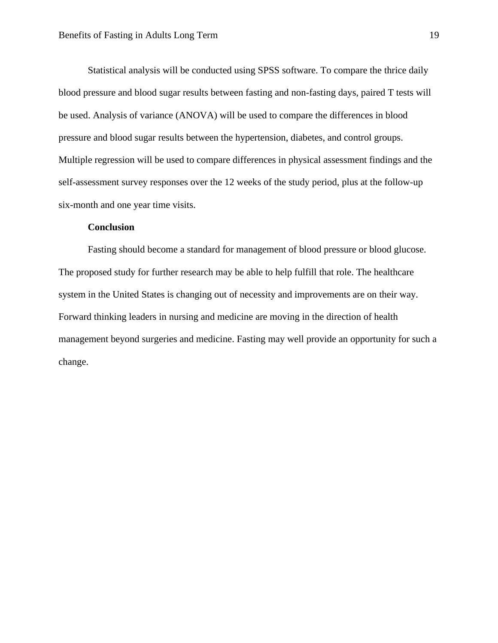Statistical analysis will be conducted using SPSS software. To compare the thrice daily blood pressure and blood sugar results between fasting and non-fasting days, paired T tests will be used. Analysis of variance (ANOVA) will be used to compare the differences in blood pressure and blood sugar results between the hypertension, diabetes, and control groups. Multiple regression will be used to compare differences in physical assessment findings and the self-assessment survey responses over the 12 weeks of the study period, plus at the follow-up six-month and one year time visits.

#### **Conclusion**

<span id="page-19-0"></span>Fasting should become a standard for management of blood pressure or blood glucose. The proposed study for further research may be able to help fulfill that role. The healthcare system in the United States is changing out of necessity and improvements are on their way. Forward thinking leaders in nursing and medicine are moving in the direction of health management beyond surgeries and medicine. Fasting may well provide an opportunity for such a change.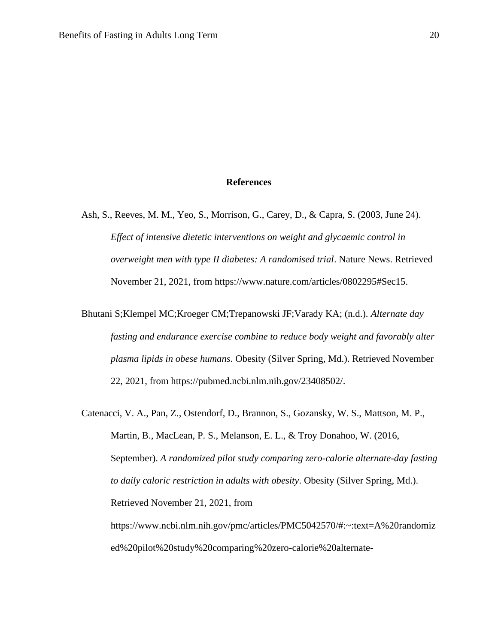#### **References**

Ash, S., Reeves, M. M., Yeo, S., Morrison, G., Carey, D., & Capra, S. (2003, June 24). *Effect of intensive dietetic interventions on weight and glycaemic control in overweight men with type II diabetes: A randomised trial*. Nature News. Retrieved November 21, 2021, from https://www.nature.com/articles/0802295#Sec15.

Bhutani S;Klempel MC;Kroeger CM;Trepanowski JF;Varady KA; (n.d.). *Alternate day fasting and endurance exercise combine to reduce body weight and favorably alter plasma lipids in obese humans*. Obesity (Silver Spring, Md.). Retrieved November 22, 2021, from https://pubmed.ncbi.nlm.nih.gov/23408502/.

Catenacci, V. A., Pan, Z., Ostendorf, D., Brannon, S., Gozansky, W. S., Mattson, M. P., Martin, B., MacLean, P. S., Melanson, E. L., & Troy Donahoo, W. (2016, September). *A randomized pilot study comparing zero-calorie alternate-day fasting to daily caloric restriction in adults with obesity*. Obesity (Silver Spring, Md.). Retrieved November 21, 2021, from https://www.ncbi.nlm.nih.gov/pmc/articles/PMC5042570/#:~:text=A%20randomiz ed%20pilot%20study%20comparing%20zero-calorie%20alternate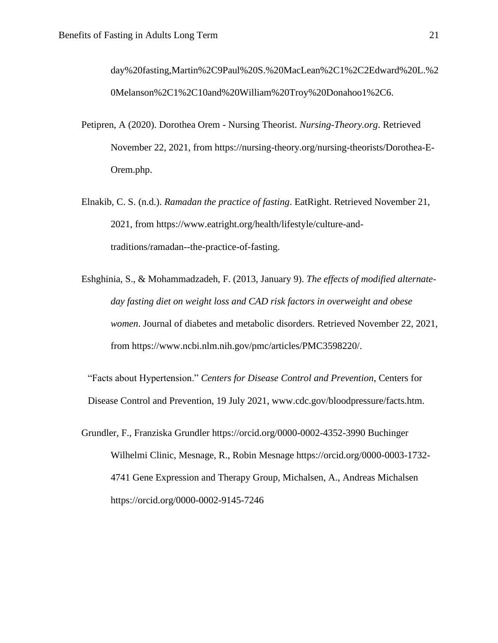day%20fasting,Martin%2C9Paul%20S.%20MacLean%2C1%2C2Edward%20L.%2 0Melanson%2C1%2C10and%20William%20Troy%20Donahoo1%2C6.

- Petipren, A (2020). Dorothea Orem Nursing Theorist. *Nursing-Theory.org*. Retrieved November 22, 2021, from https://nursing-theory.org/nursing-theorists/Dorothea-E-Orem.php.
- Elnakib, C. S. (n.d.). *Ramadan the practice of fasting*. EatRight. Retrieved November 21, 2021, from https://www.eatright.org/health/lifestyle/culture-andtraditions/ramadan--the-practice-of-fasting.
- Eshghinia, S., & Mohammadzadeh, F. (2013, January 9). *The effects of modified alternateday fasting diet on weight loss and CAD risk factors in overweight and obese women*. Journal of diabetes and metabolic disorders. Retrieved November 22, 2021, from https://www.ncbi.nlm.nih.gov/pmc/articles/PMC3598220/.

"Facts about Hypertension." *Centers for Disease Control and Prevention*, Centers for Disease Control and Prevention, 19 July 2021, www.cdc.gov/bloodpressure/facts.htm.

Grundler, F., Franziska Grundler https://orcid.org/0000-0002-4352-3990 Buchinger Wilhelmi Clinic, Mesnage, R., Robin Mesnage https://orcid.org/0000-0003-1732- 4741 Gene Expression and Therapy Group, Michalsen, A., Andreas Michalsen https://orcid.org/0000-0002-9145-7246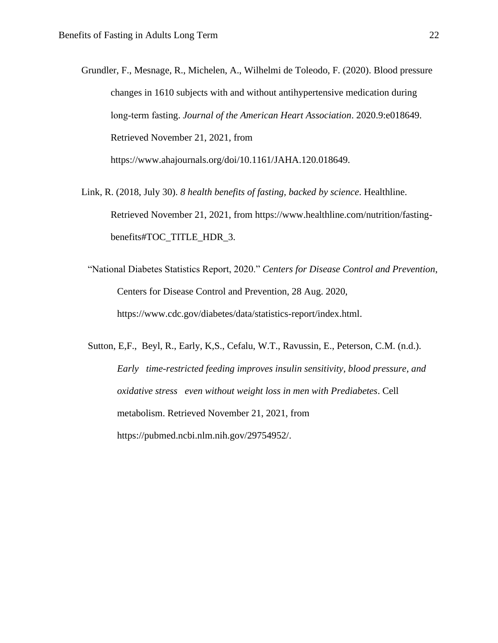- Grundler, F., Mesnage, R., Michelen, A., Wilhelmi de Toleodo, F. (2020). Blood pressure changes in 1610 subjects with and without antihypertensive medication during long‐term fasting. *Journal of the American Heart Association*. 2020.9:e018649. Retrieved November 21, 2021, from https://www.ahajournals.org/doi/10.1161/JAHA.120.018649.
- Link, R. (2018, July 30). *8 health benefits of fasting, backed by science*. Healthline. Retrieved November 21, 2021, from https://www.healthline.com/nutrition/fastingbenefits#TOC\_TITLE\_HDR\_3.
	- "National Diabetes Statistics Report, 2020." *Centers for Disease Control and Prevention*, Centers for Disease Control and Prevention, 28 Aug. 2020, https://www.cdc.gov/diabetes/data/statistics-report/index.html.
	- Sutton, E,F., Beyl, R., Early, K,S., Cefalu, W.T., Ravussin, E., Peterson, C.M. (n.d.). *Early time-restricted feeding improves insulin sensitivity, blood pressure, and oxidative stress even without weight loss in men with Prediabetes*. Cell metabolism. Retrieved November 21, 2021, from https://pubmed.ncbi.nlm.nih.gov/29754952/.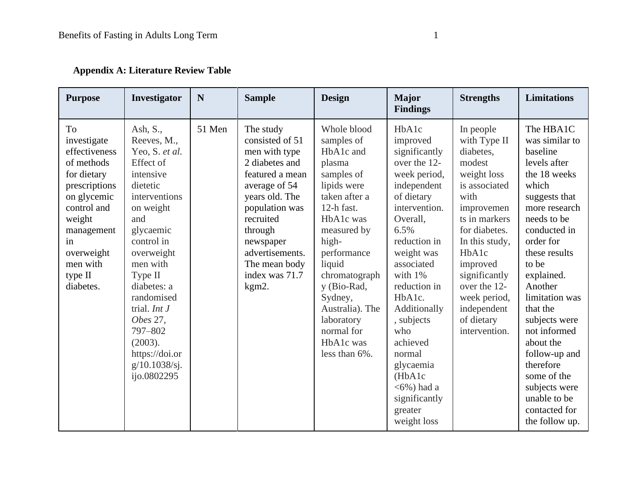|  |  |  | <b>Appendix A: Literature Review Table</b> |  |  |
|--|--|--|--------------------------------------------|--|--|
|--|--|--|--------------------------------------------|--|--|

| <b>Purpose</b>                                                                                                                                                                                 | Investigator                                                                                                                                                                                                                                                                                                            | N      | <b>Sample</b>                                                                                                                                                                                                                               | <b>Design</b>                                                                                                                                                                                                                                                                                      | <b>Major</b><br><b>Findings</b>                                                                                                                                                                                                                                                                                                                                     | <b>Strengths</b>                                                                                                                                                                                                                                                               | <b>Limitations</b>                                                                                                                                                                                                                                                                                                                                                                                             |
|------------------------------------------------------------------------------------------------------------------------------------------------------------------------------------------------|-------------------------------------------------------------------------------------------------------------------------------------------------------------------------------------------------------------------------------------------------------------------------------------------------------------------------|--------|---------------------------------------------------------------------------------------------------------------------------------------------------------------------------------------------------------------------------------------------|----------------------------------------------------------------------------------------------------------------------------------------------------------------------------------------------------------------------------------------------------------------------------------------------------|---------------------------------------------------------------------------------------------------------------------------------------------------------------------------------------------------------------------------------------------------------------------------------------------------------------------------------------------------------------------|--------------------------------------------------------------------------------------------------------------------------------------------------------------------------------------------------------------------------------------------------------------------------------|----------------------------------------------------------------------------------------------------------------------------------------------------------------------------------------------------------------------------------------------------------------------------------------------------------------------------------------------------------------------------------------------------------------|
| To<br>investigate<br>effectiveness<br>of methods<br>for dietary<br>prescriptions<br>on glycemic<br>control and<br>weight<br>management<br>in<br>overweight<br>men with<br>type II<br>diabetes. | Ash, S.,<br>Reeves, M.,<br>Yeo, S. et al.<br>Effect of<br>intensive<br>dietetic<br>interventions<br>on weight<br>and<br>glycaemic<br>control in<br>overweight<br>men with<br>Type II<br>diabetes: a<br>randomised<br>trial. $Int J$<br>Obes 27,<br>797-802<br>(2003).<br>https://doi.or<br>g/10.1038/sj.<br>ijo.0802295 | 51 Men | The study<br>consisted of 51<br>men with type<br>2 diabetes and<br>featured a mean<br>average of 54<br>years old. The<br>population was<br>recruited<br>through<br>newspaper<br>advertisements.<br>The mean body<br>index was 71.7<br>kgm2. | Whole blood<br>samples of<br>HbA1c and<br>plasma<br>samples of<br>lipids were<br>taken after a<br>12-h fast.<br>HbA1c was<br>measured by<br>high-<br>performance<br>liquid<br>chromatograph<br>y (Bio-Rad,<br>Sydney,<br>Australia). The<br>laboratory<br>normal for<br>HbA1c was<br>less than 6%. | HbA1c<br>improved<br>significantly<br>over the 12-<br>week period,<br>independent<br>of dietary<br>intervention.<br>Overall,<br>6.5%<br>reduction in<br>weight was<br>associated<br>with 1%<br>reduction in<br>HbA1c.<br>Additionally<br>, subjects<br>who<br>achieved<br>normal<br>glycaemia<br>(HbA1c<br>$<$ 6%) had a<br>significantly<br>greater<br>weight loss | In people<br>with Type II<br>diabetes,<br>modest<br>weight loss<br>is associated<br>with<br>improvemen<br>ts in markers<br>for diabetes.<br>In this study,<br>HbA1c<br>improved<br>significantly<br>over the 12-<br>week period,<br>independent<br>of dietary<br>intervention. | The HBA1C<br>was similar to<br>baseline<br>levels after<br>the 18 weeks<br>which<br>suggests that<br>more research<br>needs to be<br>conducted in<br>order for<br>these results<br>to be<br>explained.<br>Another<br>limitation was<br>that the<br>subjects were<br>not informed<br>about the<br>follow-up and<br>therefore<br>some of the<br>subjects were<br>unable to be<br>contacted for<br>the follow up. |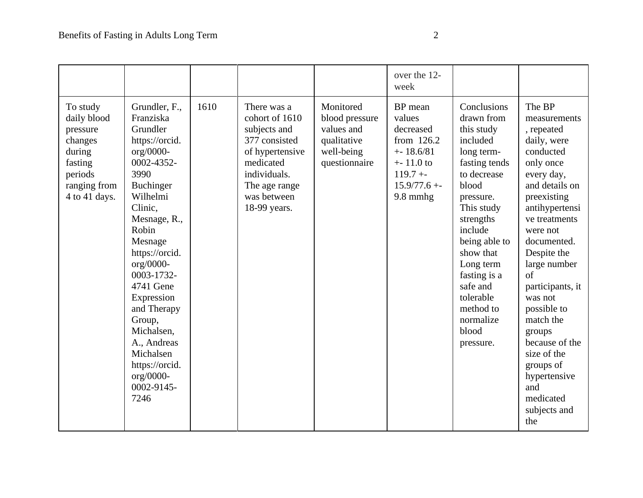|                                                                                                                 |                                                                                                                                                                                                                                                                                                                                                                              |      |                                                                                                                                                                |                                                                                         | over the 12-<br>week                                                                                                         |                                                                                                                                                                                                                                                                                                   |                                                                                                                                                                                                                                                                                                                                                                                                               |
|-----------------------------------------------------------------------------------------------------------------|------------------------------------------------------------------------------------------------------------------------------------------------------------------------------------------------------------------------------------------------------------------------------------------------------------------------------------------------------------------------------|------|----------------------------------------------------------------------------------------------------------------------------------------------------------------|-----------------------------------------------------------------------------------------|------------------------------------------------------------------------------------------------------------------------------|---------------------------------------------------------------------------------------------------------------------------------------------------------------------------------------------------------------------------------------------------------------------------------------------------|---------------------------------------------------------------------------------------------------------------------------------------------------------------------------------------------------------------------------------------------------------------------------------------------------------------------------------------------------------------------------------------------------------------|
| To study<br>daily blood<br>pressure<br>changes<br>during<br>fasting<br>periods<br>ranging from<br>4 to 41 days. | Grundler, F.,<br>Franziska<br>Grundler<br>https://orcid.<br>org/0000-<br>0002-4352-<br>3990<br><b>Buchinger</b><br>Wilhelmi<br>Clinic,<br>Mesnage, R.,<br>Robin<br>Mesnage<br>https://orcid.<br>org/0000-<br>0003-1732-<br>4741 Gene<br>Expression<br>and Therapy<br>Group,<br>Michalsen,<br>A., Andreas<br>Michalsen<br>https://orcid.<br>$org/0000-$<br>0002-9145-<br>7246 | 1610 | There was a<br>cohort of 1610<br>subjects and<br>377 consisted<br>of hypertensive<br>medicated<br>individuals.<br>The age range<br>was between<br>18-99 years. | Monitored<br>blood pressure<br>values and<br>qualitative<br>well-being<br>questionnaire | BP mean<br>values<br>decreased<br>from 126.2<br>$+ - 18.6/81$<br>$+ - 11.0$ to<br>$119.7 + -$<br>$15.9/77.6 + -$<br>9.8 mmhg | Conclusions<br>drawn from<br>this study<br>included<br>long term-<br>fasting tends<br>to decrease<br>blood<br>pressure.<br>This study<br>strengths<br>include<br>being able to<br>show that<br>Long term<br>fasting is a<br>safe and<br>tolerable<br>method to<br>normalize<br>blood<br>pressure. | The BP<br>measurements<br>, repeated<br>daily, were<br>conducted<br>only once<br>every day,<br>and details on<br>preexisting<br>antihypertensi<br>ve treatments<br>were not<br>documented.<br>Despite the<br>large number<br>of<br>participants, it<br>was not<br>possible to<br>match the<br>groups<br>because of the<br>size of the<br>groups of<br>hypertensive<br>and<br>medicated<br>subjects and<br>the |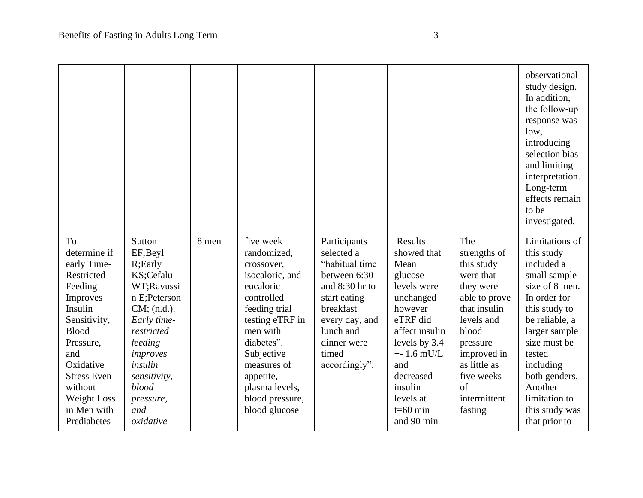|                                                                                                                                                                                                                                  |                                                                                                                                                                                                                    |       |                                                                                                                                                                                                                                                    |                                                                                                                                                                                     |                                                                                                                                                                                                                           |                                                                                                                                                                                                                       | observational<br>study design.<br>In addition,<br>the follow-up<br>response was<br>low,<br>introducing<br>selection bias<br>and limiting<br>interpretation.<br>Long-term<br>effects remain<br>to be<br>investigated.                                                    |
|----------------------------------------------------------------------------------------------------------------------------------------------------------------------------------------------------------------------------------|--------------------------------------------------------------------------------------------------------------------------------------------------------------------------------------------------------------------|-------|----------------------------------------------------------------------------------------------------------------------------------------------------------------------------------------------------------------------------------------------------|-------------------------------------------------------------------------------------------------------------------------------------------------------------------------------------|---------------------------------------------------------------------------------------------------------------------------------------------------------------------------------------------------------------------------|-----------------------------------------------------------------------------------------------------------------------------------------------------------------------------------------------------------------------|-------------------------------------------------------------------------------------------------------------------------------------------------------------------------------------------------------------------------------------------------------------------------|
| To<br>determine if<br>early Time-<br>Restricted<br>Feeding<br>Improves<br>Insulin<br>Sensitivity,<br><b>Blood</b><br>Pressure,<br>and<br>Oxidative<br><b>Stress Even</b><br>without<br>Weight Loss<br>in Men with<br>Prediabetes | Sutton<br>EF;Beyl<br>R;Early<br>KS;Cefalu<br>WT;Ravussi<br>n E;Peterson<br>$CM$ ; (n.d.).<br>Early time-<br>restricted<br>feeding<br>improves<br>insulin<br>sensitivity,<br>blood<br>pressure,<br>and<br>oxidative | 8 men | five week<br>randomized,<br>crossover,<br>isocaloric, and<br>eucaloric<br>controlled<br>feeding trial<br>testing eTRF in<br>men with<br>diabetes".<br>Subjective<br>measures of<br>appetite,<br>plasma levels,<br>blood pressure,<br>blood glucose | Participants<br>selected a<br>"habitual time<br>between 6:30<br>and 8:30 hr to<br>start eating<br>breakfast<br>every day, and<br>lunch and<br>dinner were<br>timed<br>accordingly". | Results<br>showed that<br>Mean<br>glucose<br>levels were<br>unchanged<br>however<br>eTRF did<br>affect insulin<br>levels by 3.4<br>$+ - 1.6$ mU/L<br>and<br>decreased<br>insulin<br>levels at<br>$t=60$ min<br>and 90 min | The<br>strengths of<br>this study<br>were that<br>they were<br>able to prove<br>that insulin<br>levels and<br>blood<br>pressure<br>improved in<br>as little as<br>five weeks<br>$\sigma$ f<br>intermittent<br>fasting | Limitations of<br>this study<br>included a<br>small sample<br>size of 8 men.<br>In order for<br>this study to<br>be reliable, a<br>larger sample<br>size must be<br>tested<br>including<br>both genders.<br>Another<br>limitation to<br>this study was<br>that prior to |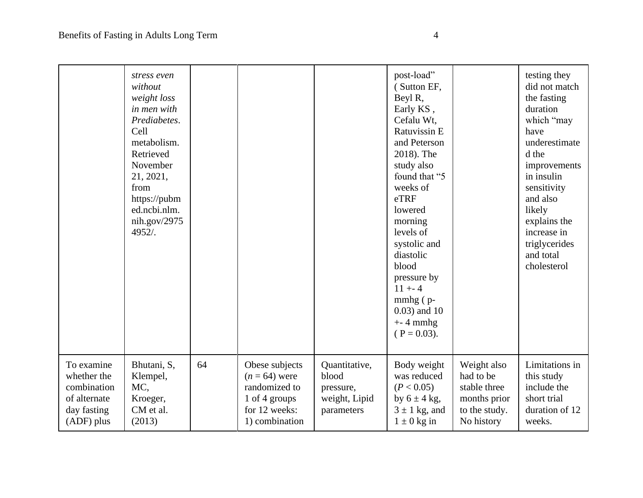|                                                                                       | stress even<br>without<br>weight loss<br>in men with<br>Prediabetes.<br>Cell<br>metabolism.<br>Retrieved<br>November<br>21, 2021,<br>from<br>https://pubm<br>ed.ncbi.nlm.<br>nih.gov/2975<br>$4952/$ . |    |                                                                                                        |                                                                    | post-load"<br>(Sutton EF,<br>Beyl R,<br>Early KS,<br>Cefalu Wt.<br>Ratuvissin E<br>and Peterson<br>2018). The<br>study also<br>found that "5<br>weeks of<br>eTRF<br>lowered<br>morning<br>levels of<br>systolic and<br>diastolic<br>blood<br>pressure by<br>$11 + - 4$<br>$mmbg$ ( $p$ -<br>$0.03$ ) and 10<br>$+ - 4$ mmhg<br>$(P = 0.03)$ . |                                                                                         | testing they<br>did not match<br>the fasting<br>duration<br>which "may<br>have<br>underestimate<br>d the<br>improvements<br>in insulin<br>sensitivity<br>and also<br>likely<br>explains the<br>increase in<br>triglycerides<br>and total<br>cholesterol |
|---------------------------------------------------------------------------------------|--------------------------------------------------------------------------------------------------------------------------------------------------------------------------------------------------------|----|--------------------------------------------------------------------------------------------------------|--------------------------------------------------------------------|-----------------------------------------------------------------------------------------------------------------------------------------------------------------------------------------------------------------------------------------------------------------------------------------------------------------------------------------------|-----------------------------------------------------------------------------------------|---------------------------------------------------------------------------------------------------------------------------------------------------------------------------------------------------------------------------------------------------------|
| To examine<br>whether the<br>combination<br>of alternate<br>day fasting<br>(ADF) plus | Bhutani, S,<br>Klempel,<br>MC,<br>Kroeger,<br>CM et al.<br>(2013)                                                                                                                                      | 64 | Obese subjects<br>$(n = 64)$ were<br>randomized to<br>1 of 4 groups<br>for 12 weeks:<br>1) combination | Quantitative,<br>blood<br>pressure,<br>weight, Lipid<br>parameters | Body weight<br>was reduced<br>(P < 0.05)<br>by $6 \pm 4$ kg,<br>$3 \pm 1$ kg, and<br>$1 \pm 0$ kg in                                                                                                                                                                                                                                          | Weight also<br>had to be<br>stable three<br>months prior<br>to the study.<br>No history | Limitations in<br>this study<br>include the<br>short trial<br>duration of 12<br>weeks.                                                                                                                                                                  |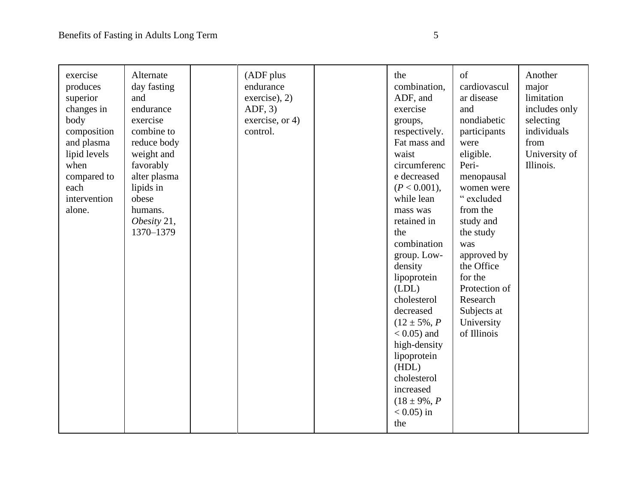| exercise<br>produces<br>superior<br>changes in<br>body<br>composition<br>and plasma<br>lipid levels<br>when<br>compared to<br>each<br>intervention<br>alone. | Alternate<br>day fasting<br>and<br>endurance<br>exercise<br>combine to<br>reduce body<br>weight and<br>favorably<br>alter plasma<br>lipids in<br>obese<br>humans.<br>Obesity 21,<br>1370-1379 | (ADF plus<br>endurance<br>exercise), 2)<br>ADF, 3)<br>exercise, or 4)<br>control. | the<br>combination,<br>ADF, and<br>exercise<br>groups,<br>respectively.<br>Fat mass and<br>waist<br>circumferenc<br>e decreased<br>(P < 0.001),<br>while lean<br>mass was<br>retained in<br>the<br>combination<br>group. Low-<br>density<br>lipoprotein<br>(LDL)<br>cholesterol<br>decreased<br>$(12 \pm 5\%, P)$<br>$< 0.05$ ) and<br>high-density<br>lipoprotein<br>(HDL)<br>cholesterol<br>increased<br>$(18 \pm 9\%, P)$<br>$< 0.05$ ) in | of<br>cardiovascul<br>ar disease<br>and<br>nondiabetic<br>participants<br>were<br>eligible.<br>Peri-<br>menopausal<br>women were<br>" excluded<br>from the<br>study and<br>the study<br>was<br>approved by<br>the Office<br>for the<br>Protection of<br>Research<br>Subjects at<br>University<br>of Illinois | Another<br>major<br>limitation<br>includes only<br>selecting<br>individuals<br>from<br>University of<br>Illinois. |
|--------------------------------------------------------------------------------------------------------------------------------------------------------------|-----------------------------------------------------------------------------------------------------------------------------------------------------------------------------------------------|-----------------------------------------------------------------------------------|-----------------------------------------------------------------------------------------------------------------------------------------------------------------------------------------------------------------------------------------------------------------------------------------------------------------------------------------------------------------------------------------------------------------------------------------------|--------------------------------------------------------------------------------------------------------------------------------------------------------------------------------------------------------------------------------------------------------------------------------------------------------------|-------------------------------------------------------------------------------------------------------------------|
|                                                                                                                                                              |                                                                                                                                                                                               |                                                                                   | the                                                                                                                                                                                                                                                                                                                                                                                                                                           |                                                                                                                                                                                                                                                                                                              |                                                                                                                   |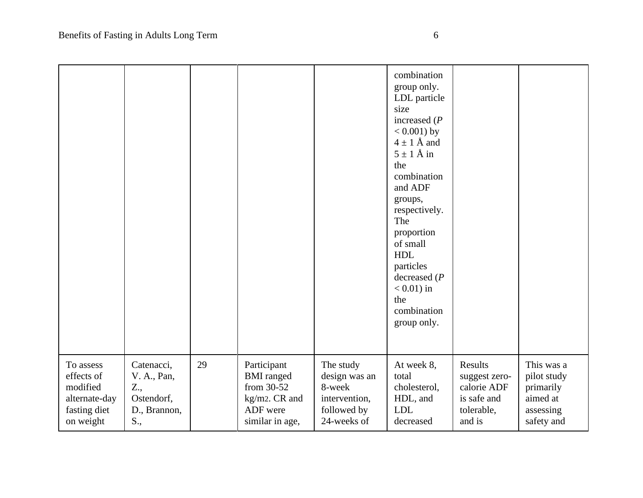|               |              |    |                   |               | combination<br>group only.<br>LDL particle<br>size<br>increased $(P)$<br>$< 0.001$ ) by<br>$4 \pm 1$ Å and<br>$5 \pm 1$ Å in<br>the<br>combination<br>and ADF<br>groups,<br>respectively.<br>The<br>proportion<br>of small<br><b>HDL</b><br>particles<br>decreased $(P$<br>$< 0.01$ ) in<br>the<br>combination<br>group only. |               |             |
|---------------|--------------|----|-------------------|---------------|-------------------------------------------------------------------------------------------------------------------------------------------------------------------------------------------------------------------------------------------------------------------------------------------------------------------------------|---------------|-------------|
| To assess     | Catenacci,   | 29 | Participant       | The study     | At week 8,                                                                                                                                                                                                                                                                                                                    | Results       | This was a  |
| effects of    | V. A., Pan,  |    | <b>BMI</b> ranged | design was an | total                                                                                                                                                                                                                                                                                                                         | suggest zero- | pilot study |
| modified      | Z.,          |    | from 30-52        | 8-week        | cholesterol,                                                                                                                                                                                                                                                                                                                  | calorie ADF   | primarily   |
| alternate-day | Ostendorf,   |    | kg/m2. CR and     | intervention, | HDL, and                                                                                                                                                                                                                                                                                                                      | is safe and   | aimed at    |
| fasting diet  | D., Brannon, |    | ADF were          | followed by   | <b>LDL</b>                                                                                                                                                                                                                                                                                                                    | tolerable,    | assessing   |
| on weight     | S.,          |    | similar in age,   | 24-weeks of   | decreased                                                                                                                                                                                                                                                                                                                     | and is        | safety and  |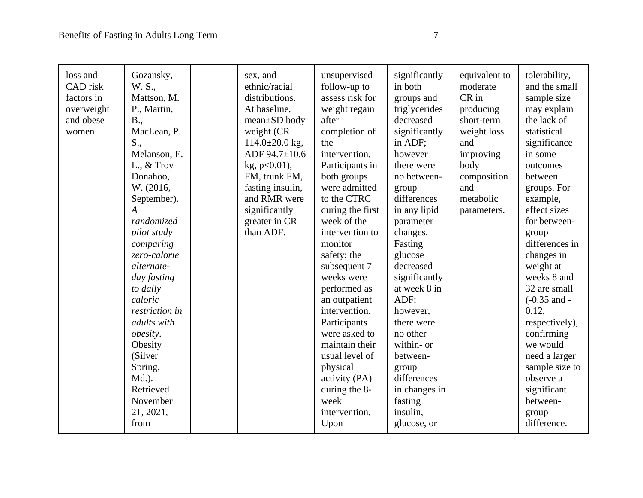| loss and<br>CAD risk<br>factors in<br>overweight<br>and obese<br>women | Gozansky,<br>W. S.,<br>Mattson, M.<br>P., Martin,<br>B.,<br>MacLean, P.<br>S.,<br>Melanson, E.<br>L., $&$ Troy<br>Donahoo,<br>W. (2016,<br>September).<br>$\overline{A}$<br>randomized<br>pilot study<br>comparing<br>zero-calorie<br>alternate-<br>day fasting<br>to daily<br>caloric<br>restriction in<br>adults with<br>obesity.<br>Obesity<br>(Silver<br>Spring,<br>Md.). | sex, and<br>ethnic/racial<br>distributions.<br>At baseline,<br>mean±SD body<br>weight (CR<br>$114.0 \pm 20.0$ kg,<br>ADF 94.7±10.6<br>$kg$ , p<0.01),<br>FM, trunk FM,<br>fasting insulin,<br>and RMR were<br>significantly<br>greater in CR<br>than ADF. | unsupervised<br>follow-up to<br>assess risk for<br>weight regain<br>after<br>completion of<br>the<br>intervention.<br>Participants in<br>both groups<br>were admitted<br>to the CTRC<br>during the first<br>week of the<br>intervention to<br>monitor<br>safety; the<br>subsequent 7<br>weeks were<br>performed as<br>an outpatient<br>intervention.<br>Participants<br>were asked to<br>maintain their<br>usual level of<br>physical<br>activity (PA) | significantly<br>in both<br>groups and<br>triglycerides<br>decreased<br>significantly<br>in ADF;<br>however<br>there were<br>no between-<br>group<br>differences<br>in any lipid<br>parameter<br>changes.<br>Fasting<br>glucose<br>decreased<br>significantly<br>at week 8 in<br>ADF;<br>however,<br>there were<br>no other<br>within- or<br>between-<br>group<br>differences | equivalent to<br>moderate<br>$CR$ in<br>producing<br>short-term<br>weight loss<br>and<br>improving<br>body<br>composition<br>and<br>metabolic<br>parameters. | tolerability,<br>and the small<br>sample size<br>may explain<br>the lack of<br>statistical<br>significance<br>in some<br>outcomes<br>between<br>groups. For<br>example,<br>effect sizes<br>for between-<br>group<br>differences in<br>changes in<br>weight at<br>weeks 8 and<br>32 are small<br>$(-0.35$ and -<br>0.12,<br>respectively),<br>confirming<br>we would<br>need a larger<br>sample size to<br>observe a |
|------------------------------------------------------------------------|-------------------------------------------------------------------------------------------------------------------------------------------------------------------------------------------------------------------------------------------------------------------------------------------------------------------------------------------------------------------------------|-----------------------------------------------------------------------------------------------------------------------------------------------------------------------------------------------------------------------------------------------------------|--------------------------------------------------------------------------------------------------------------------------------------------------------------------------------------------------------------------------------------------------------------------------------------------------------------------------------------------------------------------------------------------------------------------------------------------------------|-------------------------------------------------------------------------------------------------------------------------------------------------------------------------------------------------------------------------------------------------------------------------------------------------------------------------------------------------------------------------------|--------------------------------------------------------------------------------------------------------------------------------------------------------------|---------------------------------------------------------------------------------------------------------------------------------------------------------------------------------------------------------------------------------------------------------------------------------------------------------------------------------------------------------------------------------------------------------------------|
|                                                                        |                                                                                                                                                                                                                                                                                                                                                                               |                                                                                                                                                                                                                                                           |                                                                                                                                                                                                                                                                                                                                                                                                                                                        |                                                                                                                                                                                                                                                                                                                                                                               |                                                                                                                                                              |                                                                                                                                                                                                                                                                                                                                                                                                                     |
|                                                                        |                                                                                                                                                                                                                                                                                                                                                                               |                                                                                                                                                                                                                                                           |                                                                                                                                                                                                                                                                                                                                                                                                                                                        |                                                                                                                                                                                                                                                                                                                                                                               |                                                                                                                                                              |                                                                                                                                                                                                                                                                                                                                                                                                                     |
|                                                                        | Retrieved<br>November                                                                                                                                                                                                                                                                                                                                                         |                                                                                                                                                                                                                                                           | during the 8-<br>week                                                                                                                                                                                                                                                                                                                                                                                                                                  | in changes in<br>fasting                                                                                                                                                                                                                                                                                                                                                      |                                                                                                                                                              | significant<br>between-                                                                                                                                                                                                                                                                                                                                                                                             |
|                                                                        | 21, 2021,                                                                                                                                                                                                                                                                                                                                                                     |                                                                                                                                                                                                                                                           | intervention.                                                                                                                                                                                                                                                                                                                                                                                                                                          | insulin,                                                                                                                                                                                                                                                                                                                                                                      |                                                                                                                                                              | group                                                                                                                                                                                                                                                                                                                                                                                                               |
|                                                                        | from                                                                                                                                                                                                                                                                                                                                                                          |                                                                                                                                                                                                                                                           | Upon                                                                                                                                                                                                                                                                                                                                                                                                                                                   | glucose, or                                                                                                                                                                                                                                                                                                                                                                   |                                                                                                                                                              | difference.                                                                                                                                                                                                                                                                                                                                                                                                         |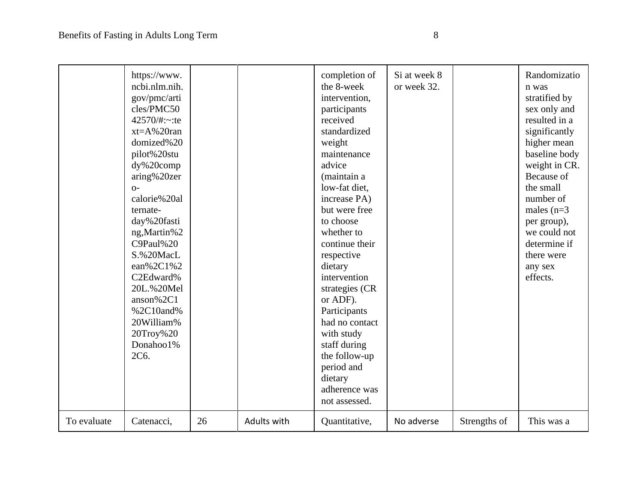|             | https://www.<br>ncbi.nlm.nih.<br>gov/pmc/arti<br>cles/PMC50<br>42570/#: $\sim$ :te<br>$xt = A\% 20$ ran<br>domized%20<br>pilot%20stu<br>$dy\%20comp$<br>aring%20zer<br>$O-$<br>calorie%20al<br>ternate-<br>day%20fasti<br>ng, Martin%2<br>C9Paul%20<br>S.%20MacL<br>ean%2C1%2<br>C2Edward%<br>20L.%20Mel<br>anson%2C1<br>%2C10and%<br>20William%<br>20Troy%20<br>Donahoo1%<br>2C6. |    |             | completion of<br>the 8-week<br>intervention,<br>participants<br>received<br>standardized<br>weight<br>maintenance<br>advice<br>(maintain a<br>low-fat diet,<br>increase PA)<br>but were free<br>to choose<br>whether to<br>continue their<br>respective<br>dietary<br>intervention<br>strategies (CR<br>or ADF).<br>Participants<br>had no contact<br>with study<br>staff during<br>the follow-up<br>period and<br>dietary<br>adherence was<br>not assessed. | Si at week 8<br>or week 32. |              | Randomizatio<br>n was<br>stratified by<br>sex only and<br>resulted in a<br>significantly<br>higher mean<br>baseline body<br>weight in CR.<br>Because of<br>the small<br>number of<br>males $(n=3)$<br>per group),<br>we could not<br>determine if<br>there were<br>any sex<br>effects. |
|-------------|------------------------------------------------------------------------------------------------------------------------------------------------------------------------------------------------------------------------------------------------------------------------------------------------------------------------------------------------------------------------------------|----|-------------|--------------------------------------------------------------------------------------------------------------------------------------------------------------------------------------------------------------------------------------------------------------------------------------------------------------------------------------------------------------------------------------------------------------------------------------------------------------|-----------------------------|--------------|----------------------------------------------------------------------------------------------------------------------------------------------------------------------------------------------------------------------------------------------------------------------------------------|
| To evaluate | Catenacci,                                                                                                                                                                                                                                                                                                                                                                         | 26 | Adults with | Quantitative,                                                                                                                                                                                                                                                                                                                                                                                                                                                | No adverse                  | Strengths of | This was a                                                                                                                                                                                                                                                                             |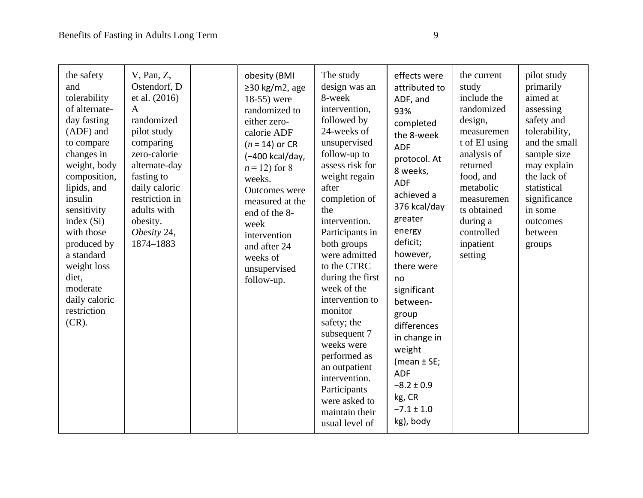| the safety<br>and<br>tolerability<br>of alternate-<br>day fasting<br>(ADF) and<br>to compare<br>changes in<br>weight, body<br>composition,<br>lipids, and<br>insulin<br>sensitivity<br>index $(Si)$<br>with those<br>produced by<br>a standard<br>weight loss<br>diet,<br>moderate<br>daily caloric<br>restriction<br>$(CR)$ . | V, Pan, Z,<br>Ostendorf, D<br>et al. (2016)<br>$\mathbf{A}$<br>randomized<br>pilot study<br>comparing<br>zero-calorie<br>alternate-day<br>fasting to<br>daily caloric<br>restriction in<br>adults with<br>obesity.<br>Obesity 24,<br>1874-1883 | obesity (BMI<br>$\geq$ 30 kg/m2, age<br>18-55) were<br>randomized to<br>either zero-<br>calorie ADF<br>$(n = 14)$ or CR<br>(-400 kcal/day,<br>$n = 12$ ) for 8<br>weeks.<br>Outcomes were<br>measured at the<br>end of the 8-<br>week<br>intervention<br>and after 24<br>weeks of<br>unsupervised<br>follow-up. | The study<br>design was an<br>8-week<br>intervention,<br>followed by<br>24-weeks of<br>unsupervised<br>follow-up to<br>assess risk for<br>weight regain<br>after<br>completion of<br>the<br>intervention.<br>Participants in<br>both groups<br>were admitted<br>to the CTRC<br>during the first<br>week of the<br>intervention to<br>monitor<br>safety; the<br>subsequent 7<br>weeks were<br>performed as<br>an outpatient<br>intervention.<br>Participants<br>were asked to<br>maintain their | effects were<br>attributed to<br>ADF, and<br>93%<br>completed<br>the 8-week<br><b>ADF</b><br>protocol. At<br>8 weeks,<br><b>ADF</b><br>achieved a<br>376 kcal/day<br>greater<br>energy<br>deficit;<br>however,<br>there were<br>no<br>significant<br>between-<br>group<br>differences<br>in change in<br>weight<br>(mean $\pm$ SE;<br><b>ADF</b><br>$-8.2 \pm 0.9$<br>kg, CR<br>$-7.1 \pm 1.0$ | the current<br>study<br>include the<br>randomized<br>design,<br>measuremen<br>t of EI using<br>analysis of<br>returned<br>food, and<br>metabolic<br>measuremen<br>ts obtained<br>during a<br>controlled<br>inpatient<br>setting | pilot study<br>primarily<br>aimed at<br>assessing<br>safety and<br>tolerability,<br>and the small<br>sample size<br>may explain<br>the lack of<br>statistical<br>significance<br>in some<br>outcomes<br>between<br>groups |
|--------------------------------------------------------------------------------------------------------------------------------------------------------------------------------------------------------------------------------------------------------------------------------------------------------------------------------|------------------------------------------------------------------------------------------------------------------------------------------------------------------------------------------------------------------------------------------------|-----------------------------------------------------------------------------------------------------------------------------------------------------------------------------------------------------------------------------------------------------------------------------------------------------------------|------------------------------------------------------------------------------------------------------------------------------------------------------------------------------------------------------------------------------------------------------------------------------------------------------------------------------------------------------------------------------------------------------------------------------------------------------------------------------------------------|------------------------------------------------------------------------------------------------------------------------------------------------------------------------------------------------------------------------------------------------------------------------------------------------------------------------------------------------------------------------------------------------|---------------------------------------------------------------------------------------------------------------------------------------------------------------------------------------------------------------------------------|---------------------------------------------------------------------------------------------------------------------------------------------------------------------------------------------------------------------------|
|                                                                                                                                                                                                                                                                                                                                |                                                                                                                                                                                                                                                |                                                                                                                                                                                                                                                                                                                 | usual level of                                                                                                                                                                                                                                                                                                                                                                                                                                                                                 | kg), body                                                                                                                                                                                                                                                                                                                                                                                      |                                                                                                                                                                                                                                 |                                                                                                                                                                                                                           |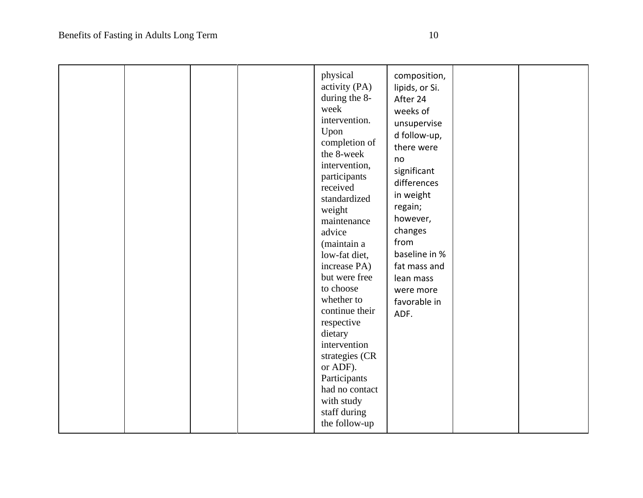|  |  |  | physical<br>activity (PA)<br>during the 8-<br>week<br>intervention.<br>Upon<br>completion of<br>the 8-week<br>intervention,<br>participants<br>received<br>standardized<br>weight<br>maintenance<br>advice<br>(maintain a<br>low-fat diet,<br>increase PA)<br>but were free<br>to choose<br>whether to<br>continue their<br>respective<br>dietary<br>intervention<br>strategies (CR<br>or ADF).<br>Participants<br>had no contact<br>with study<br>staff during<br>the follow-up | composition,<br>lipids, or Si.<br>After 24<br>weeks of<br>unsupervise<br>d follow-up,<br>there were<br>no<br>significant<br>differences<br>in weight<br>regain;<br>however,<br>changes<br>from<br>baseline in %<br>fat mass and<br>lean mass<br>were more<br>favorable in<br>ADF. |  |  |
|--|--|--|----------------------------------------------------------------------------------------------------------------------------------------------------------------------------------------------------------------------------------------------------------------------------------------------------------------------------------------------------------------------------------------------------------------------------------------------------------------------------------|-----------------------------------------------------------------------------------------------------------------------------------------------------------------------------------------------------------------------------------------------------------------------------------|--|--|
|--|--|--|----------------------------------------------------------------------------------------------------------------------------------------------------------------------------------------------------------------------------------------------------------------------------------------------------------------------------------------------------------------------------------------------------------------------------------------------------------------------------------|-----------------------------------------------------------------------------------------------------------------------------------------------------------------------------------------------------------------------------------------------------------------------------------|--|--|